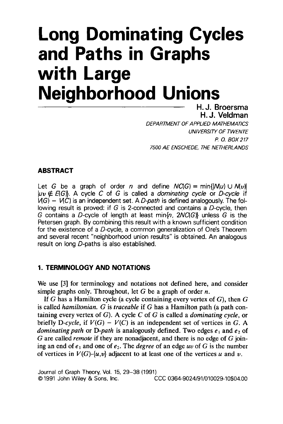# **Long Dominating Cycles and Paths in Graphs with Large**  where **Lango**<br>Neighborhood Unions

H. J. Broersma **H.J. Veldman DEPARTMENT OF APPLIED MATHEMATICS UNIVERSITY OF TWENTE** *P. O. BOX 217* 7500 AE ENSCHEDE, THE NETHERLANDS

Let *G* be a graph of order *n* and define *NC(G)* = min{l/V(u) U *N(u)l*  Let  $G$  be a graph of order  $n$  and define  $NC(G) = min\{ |M(u) \cup N(v)| \}$  $\vert \nu \nu \notin E(G)$ . A cycle C of G is called a *dominating cycle* or D-cycle if  $\overline{h}(G) - \overline{h}(G)$  is an independent set. A *D-path* is defined analogously. The following result is proved: if G is 2-connected and contains a D-cycle, then G contains a D-cycle of length at least min $\{n, 2NC \}$  unless G is the Petersen graph. By combining this result with a known sufficient condition for the existence of a  $D$ -cycle, a common generalization of Ore's Theorem. and several recent "neighborhood union results" is obtained. An analogous result on long D-paths is also established.

We use [3] for terminology and notations not defined here, and consider simple graphs only. Throughout, let G be a graph of order  $n$ .

If G has a Hamilton cycle (a cycle containing every vertex of  $G$ ), then  $G$ is called hamiltonian. G is traceable if G has a Hamilton path (a path containing every vertex of  $G$ ). A cycle  $C$  of  $G$  is called a *dominating cycle*, or briefly D-cycle, if  $V(G) - V(C)$  is an independent set of vertices in G. A dominating path or D-path is analogously defined. Two edges  $e_1$  and  $e_2$  of G are called *remote* if they are nonadjacent, and there is no edge of G joining an end of  $e_1$  and one of  $e_2$ . The *degree* of an edge *uv* of *G* is the number of vertices *u N(G)-{u,v}* adjacent to at least one of the vertices *u* and *v*.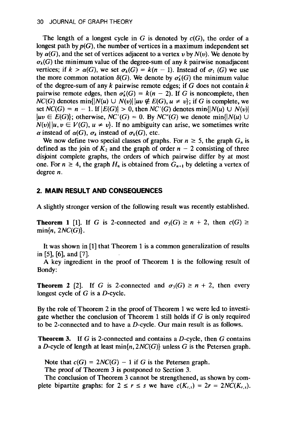The length of a longest cycle in G is denoted by  $c(G)$ , the order of a longest path by  $p(G)$ , the number of vertices in a maximum independent set by  $\alpha(G)$ , and the set of vertices adjacent to a vertex *v* by  $N(v)$ . We denote by  $\sigma_k(G)$  the minimum value of the degree-sum of any k pairwise nonadjacent vertices; if  $k > \alpha(G)$ , we set  $\sigma_k(G) = k(n-1)$ . Instead of  $\sigma_1(G)$  we use the more common notation  $\delta(G)$ . We denote by  $\sigma_k(G)$  the minimum value of the degree-sum of any  $k$  pairwise remote edges; if  $G$  does not contain  $k$ pairwise remote edges, then  $\sigma'_{k}(G) = k(n-2)$ . If G is noncomplete, then  $NC(G)$  denotes  $min\{|N(u) \cup N(v)| | uv \notin E(G), u \neq v\}$ ; if G is complete, we set  $NC(G) = n - 1$ . If  $|E(G)| > 0$ , then  $NC'(G)$  denotes min{ $|N(u) \cup N(v)|$  $|uv \in E(G)$ ; otherwise,  $NC'(G) = 0$ . By  $NC''(G)$  we denote min{ $|N(u) \cup$  $N(v)$ ||*u*,  $v \in V(G)$ ,  $u \neq v$ }. If no ambiguity can arise, we sometimes write  $\alpha$  instead of  $\alpha(G)$ ,  $\sigma_k$  instead of  $\sigma_k(G)$ , etc.

We now define two special classes of graphs. For  $n \geq 5$ , the graph  $G_n$  is defined as the join of  $K_2$  and the graph of order  $n-2$  consisting of three disjoint complete graphs, the orders of which pairwise differ by at most one. For  $n \geq 4$ , the graph  $H_n$  is obtained from  $G_{n+1}$  by deleting a vertex of degree  $n$ .

## 2. MAIN RESULT AND CONSEQUENCES

A slightly stronger version of the following result was recently established.

**Theorem 1 [l].** If G is 2-connected and *a3(G) 2 n* + 2, then *c(G)* **1 Theorem 1** [1]. If G is 2-connected and  $\sigma_3(G) \ge n + 2$ , then  $c(G) \ge$  $\mathbf{I}_{\mathbf{r}}$  is a common generalization of results of  $\mathbf{r}$ 

in [5], [6], and [7]. It was shown in [1] that Theorem 1 is a common generalization of results

A key ingredient in the proof of Theorem 1 is the following result of Bondy:

**Theorem 2** [2]. If G is 2-connected and  $\sigma_3(G) \ge n + 2$ , then every longest cycle of  $G$  is a  $D$ -cycle.

By the role of Theorem 2 in the proof of Theorem 1 we were led to investigate whether the conclusion of Theorem 1 still holds if  $G$  is only required. to be 2-connected and to have a D-cycle. Our main result is as follows.

**Theorem 3.** If G is 2-connected and contains a D-cycle, then  $G$  contains a D-cycle of length at least  $min\{n, 2NC(G)\}$  unless G is the Petersen graph.

Note that  $c(G) = 2NC(G) - 1$  if G is the Petersen graph.

The proof of Theorem 3 is postponed to Section 3.

The conclusion of Theorem 3 cannot be strengthened, as shown by complete bipartite graphs: for  $2 \le r \le s$  we have  $c(K_{r,s}) = 2r = 2NC(K_{r,s})$ .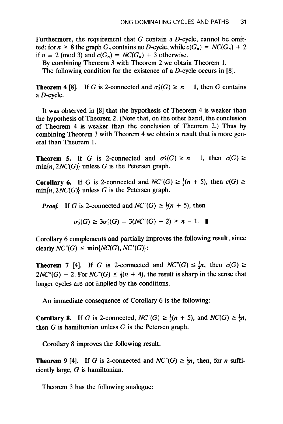Furthermore, the requirement that  $G$  contain a  $D$ -cycle, cannot be omitif it also is the graph  $G_n$  contains no D-cycle, while  $c(G_n) = NC(G_n) + 2$ if  $n \equiv 2 \pmod{3}$  and  $c(G_n) = NC(G_n) + 3$  otherwise.

By combining Theorem 3 with Theorem 2 we obtain Theorem 1.<br>The following condition for the existence of a D-cycle occurs in [8].

**The following condition for the existence of a** *D***-cycle occurs in [0].** 

Theorem 4

It was observed in  $[8]$  that the hypothesis of Theorem 4 is weaker than the hypothesis of Theorem 2. (Note that, on the other hand, the conclusion of Theorem 4 is weaker than the conclusion of Theorem 2.) Thus by combining Theorem 3 with Theorem 4 we obtain a result that is more general than Theorem 1. **Theorem 5. Theorem 5. Connected and** *a***<sub>i</sub> connected and** *a***<sub>i</sub> connected and** *a***<sup>i</sup> connected and** *c***(C)** *2* 

**Theorem 5.** If G is 2-connected and  $\sigma_3'$ 

**Corollary 6.** If **G** is 2-connected and *NC'(G) 2 f(n* + *5),* then *c(G) 2*  **Corollary 6.** If G is 2-connected and  $NC'(G)$ 

*Proof.* If G is 2-connected and  $NC'(G) \ge \frac{1}{3}(n + 5)$ , then

$$
\sigma'_3(G) \ge 3\sigma'_1(G) = 3(NC'(G) - 2) \ge n - 1. \quad \blacksquare
$$

Corollary 6 complements and partially improves the following result, since  $\sigma_3(G) \geq 3\sigma_1(G) = 3(NC(G))$ <br>Corollary 6 complements and partially imprison  $\text{C}(\mathcal{G}) \leq \min\{NC(G), NC'(G)\}$ : Corollary 6 complements and partially improves the following result, since<br>clearly  $NC''(G) \le \min\{NC(G), NC'(G)\}$ :<br>Theorem 7 [4]. If *G* is 2-connected and  $NC''(G) \le \frac{1}{2}n$ , then  $c(G) \ge$ 

clearly  $NC^*(G) \le \min\{NC(G), NC^*(G)\}$ :<br> **Theorem 7** [4]. If G is 2-connected and  $NC^*(G) \le \frac{1}{2}n$ , then  $c(G) \ge$ <br>  $2NC^*(G) = 2$  For  $NC^*(G) \le \frac{1}{2}(n + 4)$  the result is sharp in the sense that  $2NC''(G) - 2$ . For  $NC''(G) \le \frac{1}{3}(n + 4)$ , the result is sharp in the sense that longer cycles are not implied by the conditions.

**Corollary 8.** If **G** is 2-connected, *NC'(G) 1 f(n* + *5),* and *NC(G) 2 in,*  **Corollary 8.** If G is 2-connected,  $NC(G) \geq \frac{2}{3}(n + 5)$ 

Corollary 8 improves the following result.

**Theorem 9 [4].** If **G** is 2-connected and *NC"(G) 1 in,* then, for *n* suffi-**Theorem 9** [4]. It G is 2-conn

Theorem 3 has the following analogue: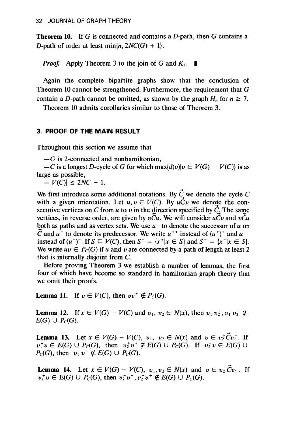**Theorem 10.** If G is connected and contains a D-path, then G contains a **Theorem 10.** If G is connected and contains a D-path, then G contains a D-path of order at least  $min\{n, 2NC(G) + 1\}$ .

*Proof.* Apply Theorem 3 to the join of G and  $K_1$ .

Again the complete bipartite graphs show that the conclusion of Theorem 10 cannot be strengthened. Furthermore, the requirement that G contain a D-path cannot be omitted, as shown by the graph  $H_n$  for  $n \ge 7$ .<br>Theorem 10 admits corollaries similar to those of Theorem 3.

Throughout this section we assume that

 $-G$  is 2-connected and nonhamiltonian,

 $-C$  is a longest *-G* is 2-connected an<br> *-C* is a longest D-cycl<br>
ge as possible,<br> *-IV(C)*<sup>1</sup> < 2*NC* - 1.

 $\mathbb{R}^n$  introduce some additional notations. By we denote the cycle  $\mathbb{R}^n$ We first introduce some additional notations. By  $C<sub>x</sub>$  we denote the cycle C with a given orientation. Let  $u, v \in V(C)$ . By  $u\tilde{C}v$  we denote the consecutive vertices on C from u to v in the direction specified by  $\tilde{C}$ . The same vertices, in reverse order, are given by  $vCu$ . We will consider  $uCv$  and  $vCu$ both as paths and as vertex sets. We use  $u^+$  to denote the successor of  $u$  on C and  $u^-$  to denote its predecessor. We write  $u^{++}$  instead of  $(u^+)^+$  and  $u^{--}$ instead of  $(u^-)$ . If  $S \subseteq V(C)$ , then  $S^+ = \{x^+ | x \in S\}$  and  $S^- = \{x^- | x \in S\}$ . We write  $uv \in P_c(G)$  if u and v are connected by a path of length at least 2 that is internally disjoint from  $C$ .

Before proving Theorem 3 we establish a number of lemmas, the first four of which have become so standard in hamiltonian graph theory that we omit their proofs.

**Lemma 11.** If *u* E *V(C),* then *uu+ 4* Pc(G).

**Lemma 12.** If  $x \in V(G) - V(C)$  and  $v_1, v_2 \in N(x)$ , then  $v_1^+ v_2^+, v_1^- v_2^- \notin$ **Lemma 13.** Let *x* E V(G) - *V(C), UI, uz* E *N(x)* and *u* E *uzeu;.* If

**Lemma 13.** Let  $x \in V(G) - V(C)$ ,  $v_1, v_2 \in N(x)$  and  $v \in v_2^{\dagger}Cv_1^{\dagger}$ . If  $v_1^+v \in E(G) \cup P_C(G)$ , then  $v_2^+v^+ \notin E(G) \cup P_C(G)$ . If  $v_2^-v \in E(G) \cup P_C(G)$ , then  $v_1^-v^- \notin E(G) \cup P_C(G)$ .  $L(X, Y) = \frac{1}{2} \sum_{i=1}^{n} (X_i - Y_i)(X_i - Y_i)(X_i)$ 

**Lemma 14.** Let  $x \in V(G) - V(C)$ ,  $v_1, v_2 \in N(x)$  and a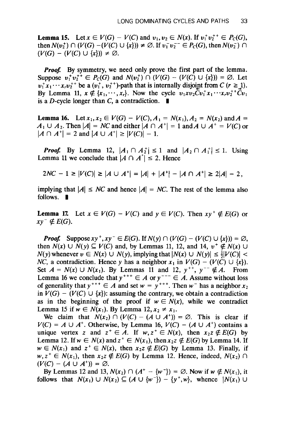**Lemma 15.** Letx E *V(G)* - *V(C)* and *u1,u2* E N(x). If *u:u;+ E Pc(G),*  **Lemma 15.** Let  $x \in V(G) - V(C)$  and  $v_1, v_2 \in N(x)$ . If  $v_1^+ v_2^{++} \in P_C(G)$ , *(We)*  $\cap$  *(V(G)*  $-(V(C) \cup \{x\})$  ≠  $\emptyset$ . If  $v_1^- v_2^ \in P_C(G)$ , then  $N(v_2^-)$  ∩  $(V(G) - (V(C) \cup \{x\}))$  ≠  $\emptyset$ .

*Prooj* By symmetry, we need only prove the first part of the lemma. **Proof.** By symmetry, we need only prove the first part of the lemma. Suppose  $v_1^+ v_2^{++} \in P_C(G)$  and  $N(v_2^+) \cap (V(G) - (V(C) \cup \{x\})) = \emptyset$ . Let  $v_1^* x_1 \cdots x_r v_2^{*+}$  be a  $(v_1^*, v_2^{*+})$ -path that is internally disjoint from  $C$  ( $r \ge 1$ ). By Lemma 11,  $x \notin \{x_1, \dots, x_r\}$ . Now the cycle  $v_1xv_2\tilde{C}v_1^+x_1\cdots x_rv_2^{+r}\tilde{C}v_1$  is a *D*-cycle longer than *C*, a contradiction.  $\blacksquare$ 

**Lemma 16. Alexander 16. And A = N(G)**  $\sim$  V(G),  $\sim$  N(x) and A = N(x) and A = N(x) and A = N(x) and A = N(x) and A = N(x) and A = N(x) and A = N(x) and A = N(x) and A = N(x) and A = N(x) and A = N(x) and A = N(x) and A **Lemma 16.** Let  $x_1, x_2 \in V(G) - V(C)$ ,  $A_1 = N(x_1)$ ,  $A_2 = N(x_2)$  and  $A =$ **ICONDUME 10.** Let  $x_1, x_2 \in V(G) - V(C), A_1$ <br>  $A_1 \cup A_2$ . Then  $|A| = NC$  and either  $|A \cap A|$ *P*<sub>*P*</sub> *A*<sub>1</sub> **E** *P*<sub>*A*<sup>+</sup> **E** *P*<sub>*A*</sub> *B*<sub>*M*</sub> *A*<sup>+</sup> **E** *IA*<sup>+</sup> *E IA*<sup>+</sup> *E V*<sub>*A*<sup>+</sup> **E** *V*<sub>*A*</sub><sup>+</sup> **E** *P*<sub>*A*</sub><sup>+</sup> *E P*<sub>*A*</sub><sup>+</sup> *E P*<sub>*A*</sub><sup>+</sup> *E P*<sub>*A*</sub><sup>+</sup> *E P*<sub>*A*</sub><sup>+</sup> *E A*<sub>*+*</sub><sup>+</sup> *E </sub></sub>* 

 $|A \cap A^*| = 2$  and  $|A \cup A^*| \ge |V(C)| - 1$ .<br>*Proof.* By Lemma 12,  $|A_1 \cap A_2^*| \le 1$  and  $|A_2 \cap A_1^*| \le 1$ . Using Lemma 11 we conclude that  $|A \cap A^*| \le 2$ . Hence

$$
2NC - 1 \ge |V(C)| \ge |A \cup A^+| = |A| + |A^+| - |A \cap A^+| \ge 2|A| - 2,
$$
  
implying that  $|A| \le NC$  and hence  $|A| = NC$ . The rest of the lemma also

implying that **Lemma 17.** Let x E *V(G)* - *V(C)* and y E *V(C).* Then xy + *4 E(G)* or

**Lemma 17. I** *Prooj* Supposexy+,xy- E *E(G).* IfN(y) n *(V(G)* - *(V(C)* U {x})) = 0,

**Proof.** Suppose  $xy^+, xy^- \in E(G)$ . If  $N(y) \cap (V(G) - (V(C) \cup \{x\})) = \emptyset$ , then  $N(x)$   $\cup$   $N(y) \subseteq V(C)$  and, by Lemmas 11, 12, and 14,  $v^+ \notin N(x)$   $\cup$ *NC*(y) whenever  $v \in N(x) \cup N(y)$ , implying that  $|N(x) \cup N(y)| \leq \frac{1}{2}|V(C)|$ NC, a contradiction. Hence y has a neighbor  $x_1$  in  $V(G) - (V(C) \cup \{x\})$ . Set  $A = N(x) \cup N(x_1)$ . By Lemmas 11 and 12,  $y^{++}$ ,  $y^{--} \notin A$ . From Lemma 16 we conclude that  $y^{+++} \in A$  or  $y^{--} \in A$ . Assume without loss of generality that  $y^{+++} \in A$  and set  $w = y^{+++}$ . Then  $w^-$  has a neighbor  $x_2$ in  $V(G) - (V(C) \cup \{x\})$ : assuming the contrary, we obtain a contradiction as in the beginning of the proof if  $w \in N(x)$ , while we contradict Lemma 15 if  $w \in N(x_1)$ . By Lemma 12,  $x_2 \neq x_1$ .

*Vice* claim that  $N(x_2) \cap (V(C) - (A \cup A^*)) = \emptyset$ . This is clear if  $V(C) = A \cup A^+$ . Otherwise, by Lemma 16,  $V(C) - (A \cup A^+)$  contains a unique vertex z and  $z^+ \in A$ . If  $w, z^+ \in N(x)$ , then  $x_2z \notin E(G)$  by Lemma 12. If  $w \in N(x)$  and  $z^+ \in N(x_1)$ , then  $x_2z \notin E(G)$  by Lemma 14. If  $w \in N(x_1)$  and  $z^+ \in N(x)$ , then  $x_2z \notin E(G)$  by Lemma 13. Finally, if  $B(X) = N(x_1),$  then  $x_2z \notin E(G)$  by Lemma 12. Hence, model,  $N(x_2)$  if  $(C) - (A \cup A^+) = \emptyset$ .  $(w \in N(x_1))$  and  $z' \in N(x_1)$ <br> $(w, z^+ \in N(x_1))$ , then  $x_2z \notin N(x_1)$ 

 $(V(C) - (A \cup A^*)) = \emptyset$ .<br>By Lemmas 12 and 13,  $N(x_2) \cap (A^+ - \{w^-\}) = \emptyset$ . Now if  $w \notin N(x_1)$ , it follows that  $N(x_1) \cup N(x_2) \subseteq (A \cup \{w^-\}) - \{y^+, w\}$ , whence  $|N(x_1) \cup N(x_2)|$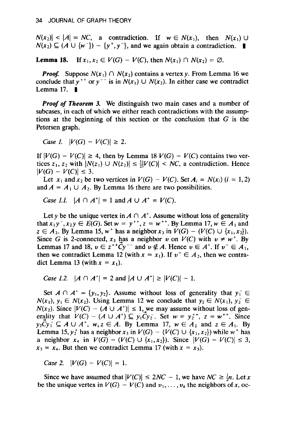$N(x_2) < |A| = NC$ , a contradiction. If  $w \in N(x_1)$ , then  $N(x_1) \cup N(x_2) \subseteq (A \cup \{w^-\}) - \{y^+, y^-\}$ , and we again obtain a contradiction. <br> **Lemma 18.** If  $x_1, x_2 \in V(G) - V(C)$ , then  $N(x_1) \cap N(x_2) = \emptyset$ . Lemma 18.

**Lemma 18.** If  $x_1, x_2 \in V(G) - V(C)$ , then  $N(x_1) \cap N(x_2) = \emptyset$ .

**Proof.** Suppose  $N(x_1) \cap N(x_2)$  contains a vertex y. From Lemma 16 we conclude that  $y^{++}$  or  $y^{--}$  is in  $N(x_1) \cup N(x_2)$ . In either case we contradict Lemma 17.

**Proof of Theorem 3.** We distinguish two main cases and a number of subcases, in each of which we either reach contradictions with the assumptions at the beginning of this section or the conclusion that  $G$  is the  $Petersen graph.$ 

 $Case 1.$   $|V(G) - V(C)| \geq 2.$ 

If  $|V(G) - V(C)| \ge 4$ , then by Lemma 18  $V(G) - V(C)$  contains two ver- $\mathbb{E}[G] = V(C) \leq 3.$ <br>  $\mathbb{E}[G] = V(C) \leq 3.$  $(Y|V(G) - V(C)| \ge$ <br>tices  $z_1, z_2$  with  $|N(z)|$ 

Let  $x_1$  and  $x_2$  be two vertices in  $V(G) - V(C)$ . Set  $A_i = N(x_i)$  (i = 1, 2) and  $A = A_1 \cup A_2$ . By Lemma 16 there are two possibilities.<br>*Case 1.1.*  $|A \cap A^*| = 1$  and  $A \cup A^* = V(C)$ .

Let y be the unique vertex in A n *A+.* Assume without loss of generality

Let y be the unique vertex in  $A \cap A^+$ . Assume without loss of generality that  $x_1y^-, x_2y \in E(G)$ . Set  $w = y^{++}, z = w^{++}$ . By Lemma 17,  $w \in A_1$  and  $z \in A_2$ . By Lemma 15,  $w^+$  has a neighbor  $x_3$  in  $V(G) - (V(C) \cup \{x_1, x_2\})$ . Since G is 2-connected,  $x_3$  has a neighbor v on  $V(C)$  with  $v \neq w^+$ . By Lemmas 17 and 18,  $v \in z^{++}\dot{C}y^{-}$  and  $v \notin A$ . Hence  $v \in A^+$ . If  $v^- \in A_1$ , then we contradict Lemma 12 (with  $x = x_1$ ). If  $v^{\text{-}} \in A_2$ , then we contradict Lemma 13 (with  $x = x_1$ ).

```
Case 1.2. |A \cap A^*| = 2 and |A \cup A^*| \ge |V(C)| - 1.
```
Set  $A \cap A^+ = \{y_1, y_2\}$ . Assume without loss of generality that  $y_1^- \in$  $N(x_1), y_1 \in N(x_2)$ . Using Lemma 12 we conclude that  $y_2 \in N(x_1), y_2 \in$  $N(x_2)$ . Since  $|V(C) - (A \cup A^*)| \le 1$ , we may assume without loss of generality that  $V(C) - (A \cup A^*) \subseteq y_1 \tilde{C} y_2$ . Set  $w = y_2^{+*}, z = w^{+*}$ . Since  $y_2Cy_1^{\dagger} \subseteq A \cup A^{\dagger}$ ,  $w, z \in A$ . By Lemma 17,  $w \in A_2$  and  $z \in A_1$ . By **Lemma** 15,  $y_2^+$  has a neighbor  $x_3$  in  $V(G) - (V(C) \cup \{x_1, x_2\})$  while  $w^+$  has *x*<sub>4</sub> in  $V(G) - (V(C) \cup \{x_1, x_2\})$ . Since  $|V(G) - V(C)| \leq 3$ ,  $x_3 = x_4$ . But then we contradict Lemma 17 (with  $x = x_3$ ).

 $Case 2. \quad |V(G) - V(C)| = 1.$ 

Since we have assumed that  $|V(C)| \le 2NC - 1$ , we have  $NC \ge \frac{1}{2}n$ . Let *x* be the unique vertex in  $V(G) - V(C)$  and  $v_1, \ldots, v_k$  the neighbors of *x*, oc-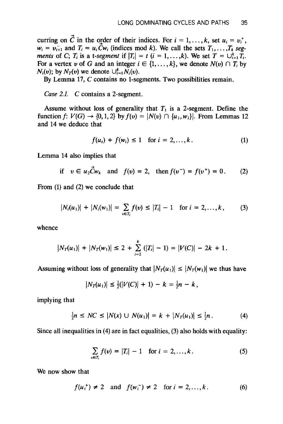curring on *C* in the oider of their indices. For *i* = 1,. . . , k, set *ui* = *u:, curring on*  $\vec{C}$  *in the order of their indices. For*  $i = 1, ..., k$ , set  $u_i = v_i^+$ ,  $w_i = v_{i+1}^-$  and  $T_i = u_i \tilde{C} w_i$  (indices mod k). We call the sets  $T_1, \ldots, T_k$  seg*ments* of C;  $T_i$  is a t-segment if  $|T_i| = t$   $(i = 1, ..., k)$ . We set  $T = \bigcup_{i=1}^k T_i$ . For a vertex v of G and an integer  $i \in \{1, ..., k\}$ , we denote  $N(v) \cap T_i$  by  $N_i(v)$ ; by  $N_T(v)$  we denote  $\bigcup_{i=1}^{k} N_i(v)$ .<br>By Lemma 17, *C* contains no 1-segments. Two possibilities remain.

*Cuse 2.1.* **C** contains a 2-segment.

Assume without loss of generality that  $T_1$  is a 2-segment. Define the function  $f: V(G) \to \{0, 1, 2\}$  by  $f(v) = |N(v) \cap \{u_1, w_1\}|$ . From Lemmas 12 and 14 we deduce that *f(ui)* + *f(wi) 5* 1 for *i* = 2,. . . , *k.* (1)

Assume without loss of generality that **Tl** is a 2-segment. Define the

$$
f(u_i) + f(w_i) \le 1 \quad \text{for } i = 2, ..., k. \tag{1}
$$

Lemma 14 also implies that

if 
$$
v \in u_2 \dot{C} w_k
$$
 and  $f(v) = 2$ , then  $f(v^-) = f(v^+) = 0$ . (2)

From  $(1)$  and  $(2)$  we conclude that

$$
|N_i(u_1)| + |N_i(w_1)| = \sum_{v \in T_i} f(v) \le |T_i| - 1 \text{ for } i = 2, ..., k,
$$
 (3)

whence

$$
|N_T(u_1)| + |N_T(w_1)| \le 2 + \sum_{i=2}^{k} (|T_i| - 1) = |V(C)| - 2k + 1.
$$
  
Assuming without loss of generality that  $|N_T(u_1)| \le |N_T(u_1)|$  we thus have

**If** loss of generality that  $|N_T(u_1)| \leq |N_T(w_1)|$ <br> $|N_T(u_1)| \leq \frac{1}{2}(|V(T)| + 1) - k - \frac{1}{2}n - k$ 

$$
|N_T(u_1)| \leq \frac{1}{2}(|V(C)| + 1) - k = \frac{1}{2}n - k,
$$

implying that

$$
\frac{1}{2}n \leq NC \leq |N(x) \cup N(u_1)| = k + |N_T(u_1)| \leq \frac{1}{2}n. \tag{4}
$$

Since all inequalities in (4) are in fact equalities, (3) also holds with equality:

$$
\sum_{v \in T_i} f(v) = |T_i| - 1 \text{ for } i = 2, ..., k. \tag{5}
$$

We now show that

$$
f(u_i^+) \neq 2
$$
 and  $f(w_i^-) \neq 2$  for  $i = 2,...,k$ . (6)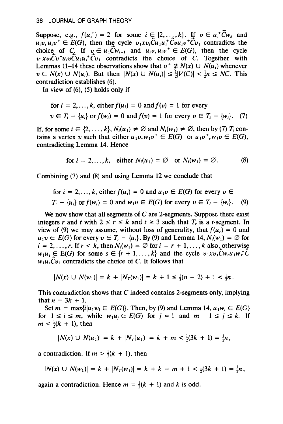Suppose, e.g., *f(u:)* = 2 for some *i* **E,** {2,. *.;,k}. IJ u* E *u:Cwk* and Suppose, e.g.,  $f(u_i^+) = 2$  for some  $i \in \{2, ..., k\}$ . If  $v \in u_i^+Cw_k$  and  $u_i v, u_i v^+ \in E(G)$ , then the cycle  $v_1 x v_i \overline{C} u_1 u_i^+ \overline{C} v u_i v^+ \overline{C} v_1$  contradicts the choice of C. If  $v \in u_1 \tilde{C} w_{i-1}$  and  $u_i v, u_i v^+ \in E(G)$ , then the cycle  $v_1xv_1\overline{C}v^+u_1v\overline{C}u_1u_1\overline{C}v_1$  contradicts the choice of C. Together with Lemmas 11–14 these observations show that  $v^+ \notin N(x) \cup N(u_i)$  whenever  $v \in N(x) \cup N(u_i)$ . But then  $|N(x) \cup N(u_i)| \leq \frac{1}{2}|V(C)| < \frac{1}{2}n \leq NC$ . This contradiction establishes (6).<br>In view of (6), (5) holds only if

for 
$$
i = 2, ..., k
$$
, either  $f(u_i) = 0$  and  $f(v) = 1$  for every  
\n $v \in T_i - \{u_i\}$  or  $f(w_i) = 0$  and  $f(v) = 1$  for every  $v \in T_i - \{w_i\}$ . (7)

If, for some  $i \in \{2, ..., k\}$ ,  $N_i(u_1) \neq \emptyset$  and  $N_i(w_1) \neq \emptyset$ , then by (7)  $T_i$  contains a vertex v such that either  $u_1v, w_1v^+ \in E(G)$  or  $u_1v^+, w_1v \in E(G)$ , contradicting Lemma 14. Hence

$$
\text{for } i = 2, \dots, k, \quad \text{either } N_i(u_1) = \emptyset \quad \text{or } N_i(w_1) = \emptyset. \tag{8}
$$

Combining (7) and (8) and using Lemma 12 we conclude that

for 
$$
i = 2, ..., k
$$
, either  $f(u_i) = 0$  and  $u_1 v \in E(G)$  for every  $v \in T_i - \{u_i\}$  or  $f(w_i) = 0$  and  $w_1 v \in E(G)$  for every  $v \in T_i - \{w_i\}$ . (9)

We now show that all segments of **C** are 2-segments. Suppose there exist  $T_i - \{u_i\}$  or  $f(w_i) = 0$  and  $w_1 v \in E(G)$  for every  $v \in T_i - \{w_i\}$ . (9)<br>We now show that all segments of C are 2-segments. Suppose there exist<br>integers *r* and *t* with  $2 \le r \le k$  and  $t > 3$  such that T, is a *t*-segment. I integers r and t with  $2 \le r \le k$  and  $t \ge 3$  such that  $T<sub>r</sub>$  is a t-segment. In view of (9) we may assume, without loss of generality, that  $f(u_r) = 0$  and  $u_1v \in E(G)$  for every  $v \in T_r - \{u_r\}$ . By (9) and Lemma 14,  $N_i(w_1) = \emptyset$  for  $i = 2, \ldots, r$ . If  $r < k$ , then  $N_i(w_1) = \emptyset$  for  $i = r + 1, \ldots, k$  also, otherwise  $w_1u_s \in E(G)$  for some  $s \in \{r+1,\ldots,k\}$  and the cycle  $v_1xv_s\tilde{C}w_ru_1w_r\tilde{C}w_1u_2w_s\tilde{C}w_1w_r\tilde{C}w_1w_s\tilde{C}w_1w_s\tilde{C}w_1w_s\tilde{C}w_1w_s\tilde{C}w_1w_s\tilde{C}w_1w_s\tilde{C}w_1w_s\tilde{C}w_1w_s\tilde{C}w_1w_s\tilde{C}w_1w_s\tilde{C}w_1w_s\tilde$ 

$$
|N(x) \cup N(w_1)| = k + |N_T(w_1)| = k + 1 \leq \frac{1}{3}(n-2) + 1 < \frac{1}{2}n \, .
$$

This contradiction shows that *C* indeed contains 2-segments only, implying **This contradiction**  $\text{at } n = 3k + 1.$ This contradiction shows that C indeed contains 2-segments only, implying<br>that  $n = 3k + 1$ .<br>Set  $m = \max\{i | u_1 w_i \in E(G)\}$ . Then, by (9) and Lemma 14,  $u_1 w_i \in E(G)$ <br>for  $1 \le i \le m$ . while  $w_1 u_i \in E(G)$  for  $i = 1$  and  $m + 1 \le i \le k$ .

for  $1 \le i \le m$ , while  $w_1u_j \in E(G)$  for  $j = 1$  and  $m + 1 \le j \le k$ . If  $m < \frac{1}{2}(k + 1)$ , then

$$
|N(x) \cup N(u_1)| = k + |N_T(u_1)| = k + m < \frac{1}{2}(3k + 1) = \frac{1}{2}n,
$$

a contradiction. If  $m > \frac{1}{2}(k + 1)$ , then

$$
|N(x) \cup N(w_1)| = k + |N_T(w_1)| = k + k - m + 1 < \frac{1}{2}(3k + 1) = \frac{1}{2}n,
$$

again a contradiction. Hence  $m = \frac{1}{2}(k + 1)$  and k is odd.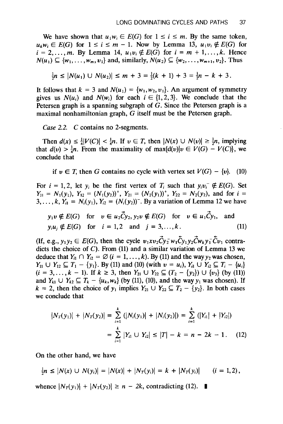**UCAURATING CYCLES AND PATHS** 37<br>We have shown that  $u_1w_i \in E(G)$  for  $1 \le i \le m$ . By the same token,  $u_k w_i \in E(G)$  for  $1 \le i \le m - 1$ . Now by Lemma 13,  $u_1 v_i \notin E(G)$  for  $i = 2,..., m$ . By Lemma 14,  $u_1v_i \notin E(G)$  for  $i = m + 1,..., k$ . Hence<br>  $N(u_1) \subseteq \{w_1,..., w_m, v_1\}$  and, similarly,  $N(u_2) \subseteq \{w_2,..., w_{m+1}, v_2\}$ . Thus

$$
\frac{1}{2}n \leq |N(u_1) \cup N(u_2)| \leq m + 3 = \frac{1}{2}(k + 1) + 3 = \frac{1}{2}n - k + 3.
$$

It follows that  $k = 3$  and  $N(u_1) = \{w_1, w_2, v_1\}$ . An argument of symmetry gives us  $N(u_i)$  and  $N(w_i)$  for each  $i \in \{1, 2, 3\}$ . We conclude that the Petersen graph is a spanning subgraph of  $G$ . Since the Petersen graph is a *Case* 2.2. *C* contains no 2-segments.

*Case 2.2. C* contains no 2-segments.

Then  $d(x) \leq \frac{1}{4}|V(C)| < \frac{1}{4}n$ . If  $v \in T$ , then  $|N(x) \cup N(v)| \geq \frac{1}{2}n$ , implying that  $d(v) > \frac{1}{4}n$ . From the maximality of max $\{d(v)|v \in V(G) - V(C)\}\)$ , we  $\frac{1}{2}$  **u**  $\frac{1}{2}$  **u**  $\frac{1}{2}$  **l**  $\frac{1}{2}$  **l**  $\frac{1}{2}$  **l**  $\frac{1}{2}$  **l**  $\frac{1}{2}$  **l**  $\frac{1}{2}$  **l**  $\frac{1}{2}$  **l**  $\frac{1}{2}$  **l**  $\frac{1}{2}$  **l**  $\frac{1}{2}$  **l**  $\frac{1}{2}$  **l**  $\frac{1}{2}$  **l**  $\frac{1}{2}$  **l**  $\frac{1}{2}$ 

if  $v \in T$ , then G contains no cycle with vertex set  $V(G) - \{v\}$ . (10)

For  $i = 1, 2$ , let  $y_i$  be the first vertex of  $T_i$  such that  $y_i v_i \notin E(G)$ . Set  $Y_{11} = N_1(y_1)$ ,  $Y_{12} = (N_1(y_2))^+$ ,  $Y_{21} = (N_2(y_1))^+$ ,  $Y_{22} = N_2(y_2)$ , and for  $i = 3, ..., k$ ,  $Y_{i1} = N_i(y_1)$ ,  $Y_{i2} = (N_i(y_2))^-$ . By a variation of Lemma 12 we have **ylu** \$Z *E(G)* for *u* **E U~?YZ,YZU** \$Z *E(G)* for *u* **E ul?yl,** and

$$
y_1v \notin E(G) \quad \text{for} \quad v \in u_2\tilde{C}y_2, y_2v \notin E(G) \quad \text{for} \quad v \in u_1\tilde{C}y_1, \quad \text{and}
$$
\n
$$
y_iu_j \notin E(G) \quad \text{for} \quad i = 1, 2 \quad \text{and} \quad j = 3, \dots, k. \tag{11}
$$

(If, e.g., **ylyz** E *E(G),* then the cycle **~Ix~Z~y~~I~y~y2~~ky~~~l** contra-(If, e.g.,  $y_1 y_2 \in E(G)$ , then the cycle  $v_1 x v_2 \tilde{C} y_2 \tilde{w}_1 \tilde{C} y_1 y_2 \tilde{C} w_k y_1 \tilde{C} v_1$  contradicts the choice of C). From (11) and a similar variation of Lemma 13 we deduce that  $Y_{i1} \cap Y_{i2} = \emptyset$  ( $i = 1, ..., k$ ). By (11) and the way  $y_2$  was chosen,  $Y_{11} \cup Y_{12} \subseteq T_1 - \{y_1\}$ . By (11) and (10) (with  $v = u_i$ ),  $Y_{i1} \cup Y_{i2} \subseteq T_i - \{u_i\}$  $(i = 3, ..., k - 1)$ . If  $k \ge 3$ , then  $Y_{21} \cup Y_{22} \subseteq (T_2 - \{y_2\}) \cup \{v_3\}$  (by (11)) and  $Y_{k1} \cup Y_{k2} \subseteq T_k - \{u_k, w_k\}$  (by (11), (10), and the way  $y_1$  was chosen). If  $k = 2$ , then the choice of  $y_1$  implies  $Y_{21} \cup Y_{22} \subseteq T_2 - \{y_2\}$ . In both cases we conclude that

$$
|N_T(y_1)| + |N_T(y_2)| = \sum_{i=1}^k (|N_i(y_1)| + |N_i(y_2)|) = \sum_{i=1}^k (|Y_{i1}| + |Y_{i2}|)
$$
  
= 
$$
\sum_{i=1}^k |Y_{i1} \cup Y_{i2}| \le |T| - k = n - 2k - 1.
$$
 (12)

On the other hand, we have

$$
\frac{1}{2}n \leq |N(x) \cup N(y_i)| = |N(x)| + |N_T(y_i)| = k + |N_T(y_i)| \qquad (i = 1, 2).
$$